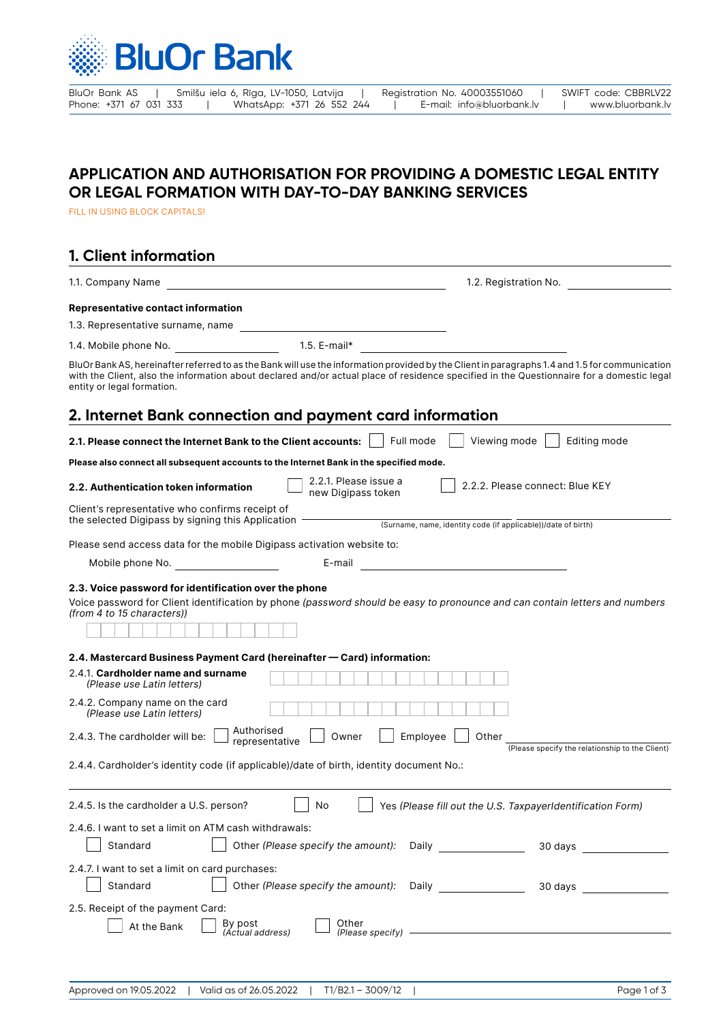

BluOr Bank AS | Smilšu iela 6, Rīga, LV-1050, Latvija | Registration No. 40003551060 | SWIFT code: CBBRLV22<br>Phone: +371 67 031 333 | WhatsApp: +371 26 552 244 | E-mail: info@bluorbank.lv | www.bluorbank.lv Phone: +371 26 552 244 | E-mail: info@bluorbank.lv | www.bluorbank.lv

## **APPLICATION AND AUTHORISATION FOR PROVIDING A DOMESTIC LEGAL ENTITY OR LEGAL FORMATION WITH DAY-TO-DAY BANKING SERVICES**

FILL IN USING BLOCK CAPITALS!

## **1. Client information**

| <b>Representative contact information</b>                                                                                                                                                                                                                                                                                                                                                                                                                                                                                                                   |                                                                                                                                                                                                                                                                |
|-------------------------------------------------------------------------------------------------------------------------------------------------------------------------------------------------------------------------------------------------------------------------------------------------------------------------------------------------------------------------------------------------------------------------------------------------------------------------------------------------------------------------------------------------------------|----------------------------------------------------------------------------------------------------------------------------------------------------------------------------------------------------------------------------------------------------------------|
|                                                                                                                                                                                                                                                                                                                                                                                                                                                                                                                                                             |                                                                                                                                                                                                                                                                |
|                                                                                                                                                                                                                                                                                                                                                                                                                                                                                                                                                             |                                                                                                                                                                                                                                                                |
|                                                                                                                                                                                                                                                                                                                                                                                                                                                                                                                                                             |                                                                                                                                                                                                                                                                |
| BluOr Bank AS, hereinafter referred to as the Bank will use the information provided by the Client in paragraphs 1.4 and 1.5 for communication<br>with the Client, also the information about declared and/or actual place of residence specified in the Questionnaire for a domestic legal<br>entity or legal formation.                                                                                                                                                                                                                                   |                                                                                                                                                                                                                                                                |
| 2. Internet Bank connection and payment card information                                                                                                                                                                                                                                                                                                                                                                                                                                                                                                    |                                                                                                                                                                                                                                                                |
| Full mode<br>2.1. Please connect the Internet Bank to the Client accounts:                                                                                                                                                                                                                                                                                                                                                                                                                                                                                  | Viewing mode<br>Editing mode                                                                                                                                                                                                                                   |
| Please also connect all subsequent accounts to the Internet Bank in the specified mode.                                                                                                                                                                                                                                                                                                                                                                                                                                                                     |                                                                                                                                                                                                                                                                |
| 2.2.1. Please issue a<br>2.2. Authentication token information<br>new Digipass token                                                                                                                                                                                                                                                                                                                                                                                                                                                                        | 2.2.2. Please connect: Blue KEY                                                                                                                                                                                                                                |
| Client's representative who confirms receipt of<br>the selected Digipass by signing this Application $-$                                                                                                                                                                                                                                                                                                                                                                                                                                                    |                                                                                                                                                                                                                                                                |
|                                                                                                                                                                                                                                                                                                                                                                                                                                                                                                                                                             | (Surname, name, identity code (if applicable))/date of birth)                                                                                                                                                                                                  |
| Please send access data for the mobile Digipass activation website to:                                                                                                                                                                                                                                                                                                                                                                                                                                                                                      |                                                                                                                                                                                                                                                                |
| Mobile phone No.                                                                                                                                                                                                                                                                                                                                                                                                                                                                                                                                            |                                                                                                                                                                                                                                                                |
| Voice password for Client identification by phone (password should be easy to pronounce and can contain letters and numbers<br>(from 4 to 15 characters))<br>2.4. Mastercard Business Payment Card (hereinafter — Card) information:<br>2.4.1. Cardholder name and surname<br>(Please use Latin letters)<br>2.4.2. Company name on the card<br>(Please use Latin letters)<br>Authorised<br>Owner<br>Employee<br>2.4.3. The cardholder will be:<br>representative<br>2.4.4. Cardholder's identity code (if applicable)/date of birth, identity document No.: | Other<br>(Please specify the relationship to the Client)                                                                                                                                                                                                       |
| 2.4.5. Is the cardholder a U.S. person?<br>No                                                                                                                                                                                                                                                                                                                                                                                                                                                                                                               | Yes (Please fill out the U.S. TaxpayerIdentification Form)                                                                                                                                                                                                     |
| 2.4.6. I want to set a limit on ATM cash withdrawals:<br>Standard<br>Other (Please specify the amount):                                                                                                                                                                                                                                                                                                                                                                                                                                                     | Daily <b>Daily Commental</b><br>30 days and the state of the state of the state of the state of the state of the state of the state of the state of the state of the state of the state of the state of the state of the state of the state of the state of th |
| 2.4.7. I want to set a limit on card purchases:<br>Standard<br>Other (Please specify the amount):                                                                                                                                                                                                                                                                                                                                                                                                                                                           | <b>Daily Example 20</b><br>30 days and the set of the set of the set of the set of the set of the set of the set of the set of the set of the set of the set of the set of the set of the set of the set of the set of the set of the set of the set of t      |
| 2.5. Receipt of the payment Card:<br>Other<br>By post<br>(Actual address)<br>At the Bank                                                                                                                                                                                                                                                                                                                                                                                                                                                                    | $(Please specify)$ $\qquad$                                                                                                                                                                                                                                    |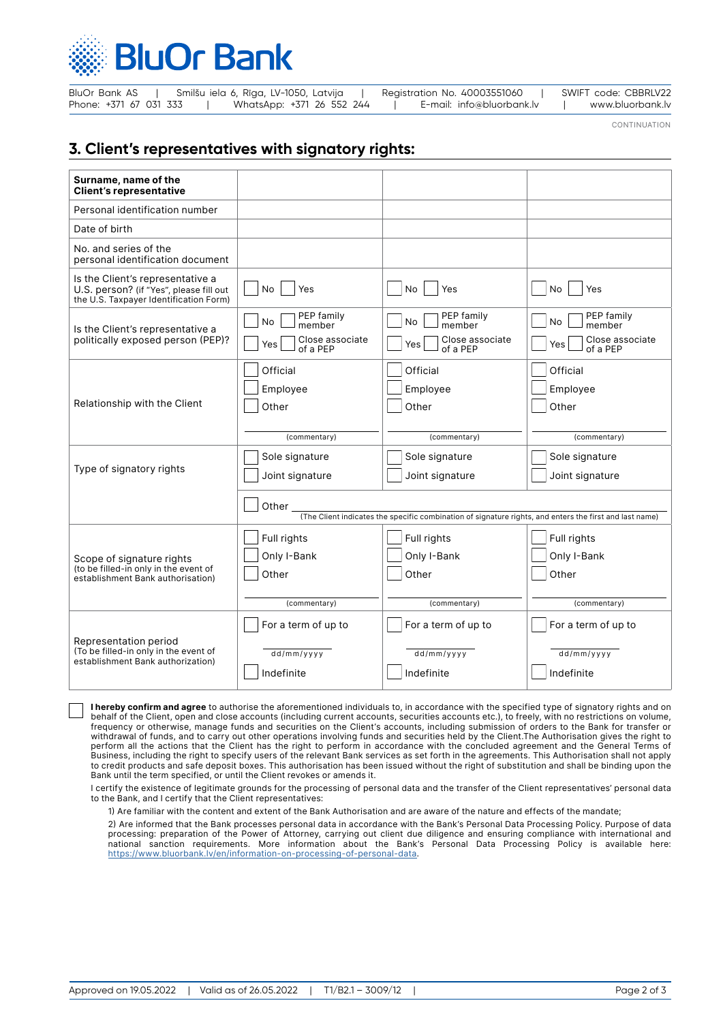

| BluOr Bank AS          | Smilšu iela 6, Rīga, LV-1050, Latvija |                           |  | Registration No. 40003551060 |  | SWIFT code: CBBRLV22 |
|------------------------|---------------------------------------|---------------------------|--|------------------------------|--|----------------------|
| Phone: +371 67 031 333 |                                       | WhatsApp: +371 26 552 244 |  | E-mail: info@bluorbank.lv    |  | www.bluorbank.lv     |

CONTINUATION

## **3. Client's representatives with signatory rights:**

| Surname, name of the<br><b>Client's representative</b>                                                                |                                                                                                                  |                                                       |                                                             |  |  |
|-----------------------------------------------------------------------------------------------------------------------|------------------------------------------------------------------------------------------------------------------|-------------------------------------------------------|-------------------------------------------------------------|--|--|
| Personal identification number                                                                                        |                                                                                                                  |                                                       |                                                             |  |  |
| Date of birth                                                                                                         |                                                                                                                  |                                                       |                                                             |  |  |
| No. and series of the<br>personal identification document                                                             |                                                                                                                  |                                                       |                                                             |  |  |
| Is the Client's representative a<br>U.S. person? (if "Yes", please fill out<br>the U.S. Taxpayer Identification Form) | No.<br>Yes                                                                                                       | <b>No</b><br>Yes                                      | <b>No</b><br>Yes                                            |  |  |
| Is the Client's representative a<br>politically exposed person (PEP)?                                                 | PEP family<br>No<br>member<br>Close associate<br>Yes                                                             | PEP family<br>No.<br>member<br>Close associate<br>Yes | PEP family<br><b>No</b><br>member<br>Close associate<br>Yes |  |  |
|                                                                                                                       | of a PEP<br>Official                                                                                             | of a PEP<br>Official                                  | of a PEP<br>Official                                        |  |  |
|                                                                                                                       | Employee                                                                                                         | Employee                                              | Employee                                                    |  |  |
| Relationship with the Client                                                                                          | Other                                                                                                            | Other                                                 | Other                                                       |  |  |
|                                                                                                                       | (commentary)                                                                                                     | (commentary)                                          | (commentary)                                                |  |  |
|                                                                                                                       | Sole signature                                                                                                   | Sole signature                                        | Sole signature                                              |  |  |
| Type of signatory rights                                                                                              | Joint signature                                                                                                  | Joint signature                                       | Joint signature                                             |  |  |
|                                                                                                                       | Other<br>(The Client indicates the specific combination of signature rights, and enters the first and last name) |                                                       |                                                             |  |  |
|                                                                                                                       |                                                                                                                  |                                                       |                                                             |  |  |
|                                                                                                                       | Full rights<br>Only I-Bank                                                                                       | Full rights<br>Only I-Bank                            | Full rights<br>Only I-Bank                                  |  |  |
| Scope of signature rights<br>(to be filled-in only in the event of                                                    | Other                                                                                                            | Other                                                 | Other                                                       |  |  |
| establishment Bank authorisation)                                                                                     |                                                                                                                  |                                                       |                                                             |  |  |
|                                                                                                                       | (commentary)                                                                                                     | (commentary)                                          | (commentary)                                                |  |  |
| Representation period                                                                                                 | For a term of up to                                                                                              | For a term of up to                                   | For a term of up to                                         |  |  |
| (To be filled-in only in the event of<br>establishment Bank authorization)                                            | dd/mm/yyyy                                                                                                       | dd/mm/yyyy                                            | dd/mm/yyyy                                                  |  |  |
|                                                                                                                       | Indefinite                                                                                                       | Indefinite                                            | Indefinite                                                  |  |  |

**I hereby confirm and agree** to authorise the aforementioned individuals to, in accordance with the specified type of signatory rights and on behalf of the Client, open and close accounts (including current accounts, securities accounts etc.), to freely, with no restrictions on volume, frequency or otherwise, manage funds and securities on the Client's accounts, including submission of orders to the Bank for transfer or withdrawal of funds, and to carry out other operations involving funds and securities held by the Client.The Authorisation gives the right to perform all the actions that the Client has the right to perform in accordance with the concluded agreement and the General Terms of Business, including the right to specify users of the relevant Bank services as set forth in the agreements. This Authorisation shall not apply to credit products and safe deposit boxes. This authorisation has been issued without the right of substitution and shall be binding upon the Bank until the term specified, or until the Client revokes or amends it.

I certify the existence of legitimate grounds for the processing of personal data and the transfer of the Client representatives' personal data to the Bank, and I certify that the Client representatives:

1) Are familiar with the content and extent of the Bank Authorisation and are aware of the nature and effects of the mandate;

2) Are informed that the Bank processes personal data in accordance with the Bank's Personal Data Processing Policy. Purpose of data processing: preparation of the Power of Attorney, carrying out client due diligence and ensuring compliance with international and national sanction requirements. More information about the Bank's Personal Data Processing Policy is available here: <https://www.bluorbank.lv/en/information-on-processing-of-personal-data>.